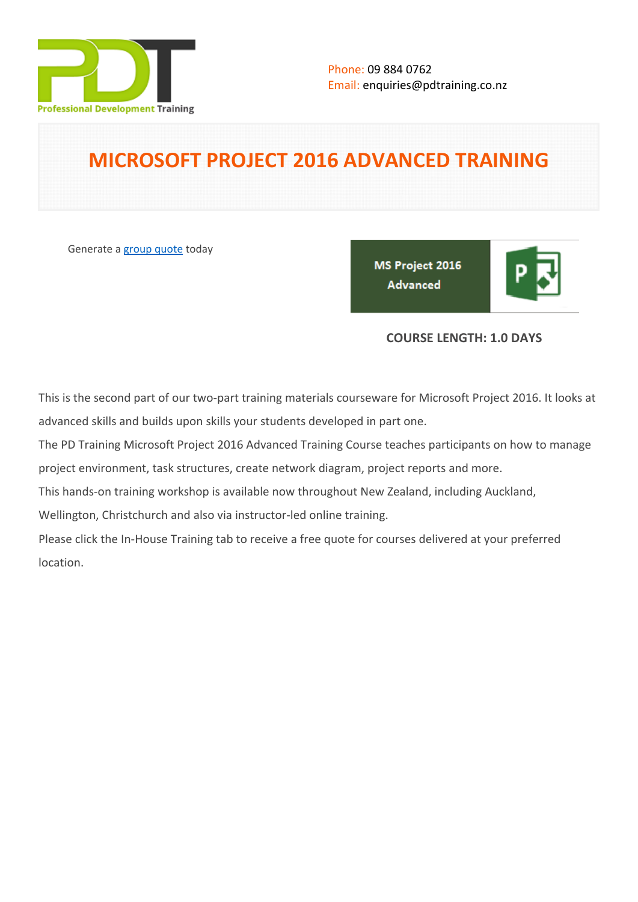

# **MICROSOFT PROJECT 2016 ADVANCED TRAINING**

Generate a [group quote](https://pdtraining.co.nz/inhouse-training-quote?cse=MSP16A) today

MS Project 2016 **Advanced** 

# **COURSE LENGTH: 1.0 DAYS**

This is the second part of our two-part training materials courseware for Microsoft Project 2016. It looks at advanced skills and builds upon skills your students developed in part one.

The PD Training Microsoft Project 2016 Advanced Training Course teaches participants on how to manage project environment, task structures, create network diagram, project reports and more.

This hands-on training workshop is available now throughout New Zealand, including Auckland,

Wellington, Christchurch and also via instructor-led online training.

Please click the In-House Training tab to receive a free quote for courses delivered at your preferred location.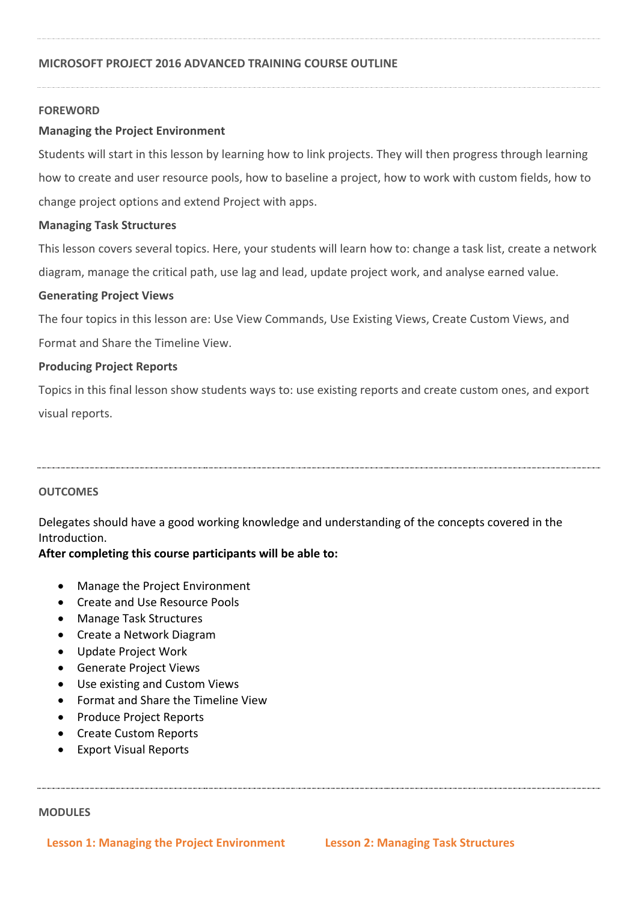#### **FOREWORD**

### **Managing the Project Environment**

Students will start in this lesson by learning how to link projects. They will then progress through learning how to create and user resource pools, how to baseline a project, how to work with custom fields, how to change project options and extend Project with apps.

#### **Managing Task Structures**

This lesson covers several topics. Here, your students will learn how to: change a task list, create a network diagram, manage the critical path, use lag and lead, update project work, and analyse earned value.

#### **Generating Project Views**

The four topics in this lesson are: Use View Commands, Use Existing Views, Create Custom Views, and Format and Share the Timeline View.

#### **Producing Project Reports**

Topics in this final lesson show students ways to: use existing reports and create custom ones, and export visual reports.

### **OUTCOMES**

Delegates should have a good working knowledge and understanding of the concepts covered in the Introduction.

### **After completing this course participants will be able to:**

- Manage the Project Environment
- Create and Use Resource Pools
- Manage Task Structures
- Create a Network Diagram
- Update Project Work
- Generate Project Views
- Use existing and Custom Views
- Format and Share the Timeline View
- Produce Project Reports
- Create Custom Reports
- Export Visual Reports

#### **MODULES**

**Lesson 1: Managing the Project Environment Lesson 2: Managing Task Structures**